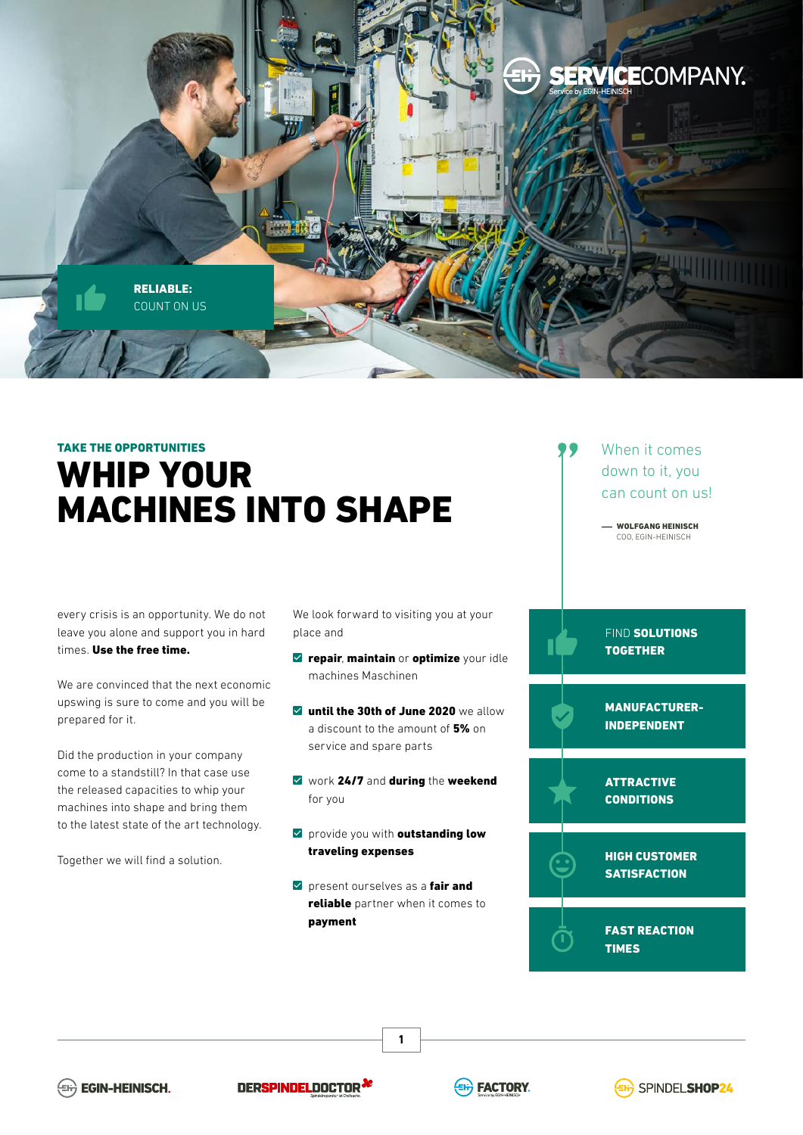

## TAKE THE OPPORTUNITIES WHIP YOUR MACHINES INTO SHAPE

every crisis is an opportunity. We do not leave you alone and support you in hard times. Use the free time.

We are convinced that the next economic upswing is sure to come and you will be prepared for it.

Did the production in your company come to a standstill? In that case use the released capacities to whip your machines into shape and bring them to the latest state of the art technology.

Together we will find a solution.

We look forward to visiting you at your place and

- $\triangledown$  repair, maintain or optimize your idle machines Maschinen
- **v** until the 30th of June 2020 we allow a discount to the amount of 5% on service and spare parts
- $\vee$  work 24/7 and during the weekend for you
- $\triangledown$  provide you with outstanding low traveling expenses
- $\triangledown$  present ourselves as a fair and reliable partner when it comes to payment

**1**



 WOLFGANG HEINISCH COO, EGIN-HEINISCH